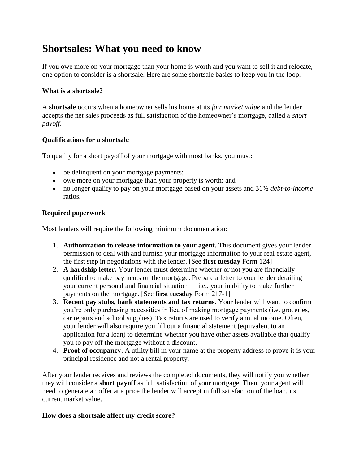# **Shortsales: What you need to know**

If you owe more on your mortgage than your home is worth and you want to sell it and relocate, one option to consider is a shortsale. Here are some shortsale basics to keep you in the loop.

## **What is a shortsale?**

A **shortsale** occurs when a homeowner sells his home at its *fair market value* and the lender accepts the net sales proceeds as full satisfaction of the homeowner's mortgage, called a *short payoff*.

# **Qualifications for a shortsale**

To qualify for a short payoff of your mortgage with most banks, you must:

- be delinquent on your mortgage payments;
- owe more on your mortgage than your property is worth; and
- no longer qualify to pay on your mortgage based on your assets and 31% *debt-to-income*  ratios.

## **Required paperwork**

Most lenders will require the following minimum documentation:

- 1. **Authorization to release information to your agent.** This document gives your lender permission to deal with and furnish your mortgage information to your real estate agent, the first step in negotiations with the lender. [See **first tuesday** Form 124]
- 2. **A hardship letter.** Your lender must determine whether or not you are financially qualified to make payments on the mortgage. Prepare a letter to your lender detailing your current personal and financial situation — i.e., your inability to make further payments on the mortgage. [See **first tuesday** Form 217-1]
- 3. **Recent pay stubs, bank statements and tax returns.** Your lender will want to confirm you're only purchasing necessities in lieu of making mortgage payments (i.e. groceries, car repairs and school supplies). Tax returns are used to verify annual income. Often, your lender will also require you fill out a financial statement (equivalent to an application for a loan) to determine whether you have other assets available that qualify you to pay off the mortgage without a discount.
- 4. **Proof of occupancy**. A utility bill in your name at the property address to prove it is your principal residence and not a rental property.

After your lender receives and reviews the completed documents, they will notify you whether they will consider a **short payoff** as full satisfaction of your mortgage. Then, your agent will need to generate an offer at a price the lender will accept in full satisfaction of the loan, its current market value.

#### **How does a shortsale affect my credit score?**